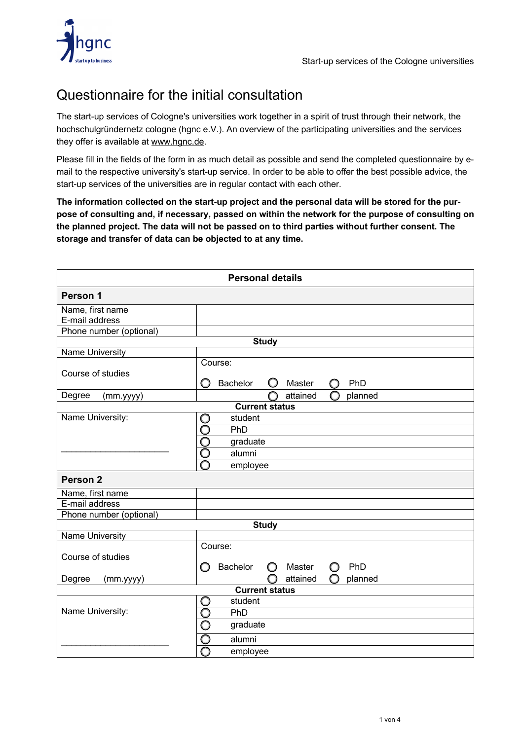

## Questionnaire for the initial consultation

The start-up services of Cologne's universities work together in a spirit of trust through their network, the hochschulgründernetz cologne (hgnc e.V.). An overview of the participating universities and the services they offer is available at www.hgnc.de.

Please fill in the fields of the form in as much detail as possible and send the completed questionnaire by email to the respective university's start-up service. In order to be able to offer the best possible advice, the start-up services of the universities are in regular contact with each other.

**The information collected on the start-up project and the personal data will be stored for the purpose of consulting and, if necessary, passed on within the network for the purpose of consulting on the planned project. The data will not be passed on to third parties without further consent. The storage and transfer of data can be objected to at any time.**

| <b>Personal details</b> |                                           |  |
|-------------------------|-------------------------------------------|--|
| Person 1                |                                           |  |
| Name, first name        |                                           |  |
| E-mail address          |                                           |  |
| Phone number (optional) |                                           |  |
|                         | <b>Study</b>                              |  |
| <b>Name University</b>  |                                           |  |
| Course of studies       | Course:<br>Bachelor<br>PhD<br>O<br>Master |  |
| Degree<br>(mm.yyyy)     | attained<br>planned                       |  |
|                         | <b>Current status</b>                     |  |
| Name University:        | student<br>O                              |  |
|                         | PhD                                       |  |
|                         | graduate                                  |  |
|                         | alumni                                    |  |
|                         | D<br>employee                             |  |
| Person <sub>2</sub>     |                                           |  |
| Name, first name        |                                           |  |
| E-mail address          |                                           |  |
| Phone number (optional) |                                           |  |
|                         | <b>Study</b>                              |  |
| Name University         |                                           |  |
|                         | Course:                                   |  |
| Course of studies       | <b>Bachelor</b><br>PhD<br>Master<br>O     |  |
| Degree<br>(mm.yyyy)     | attained<br>planned                       |  |
| <b>Current status</b>   |                                           |  |
|                         | student<br>$\ddot{\mathbf{O}}$            |  |
| Name University:        | Ō<br>PhD                                  |  |
|                         | Ō<br>graduate                             |  |
|                         | alumni                                    |  |
|                         | employee                                  |  |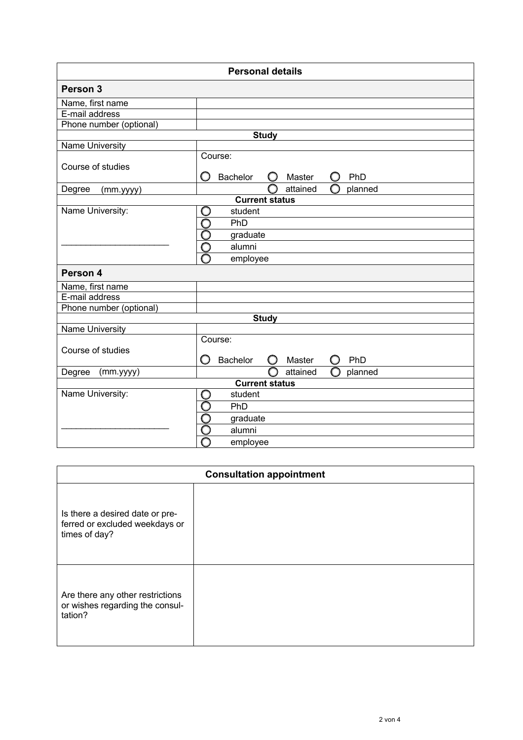| <b>Personal details</b> |                                     |  |
|-------------------------|-------------------------------------|--|
| Person 3                |                                     |  |
| Name, first name        |                                     |  |
| E-mail address          |                                     |  |
| Phone number (optional) |                                     |  |
|                         | <b>Study</b>                        |  |
| <b>Name University</b>  |                                     |  |
|                         | Course:                             |  |
| Course of studies       | O<br>Bachelor<br>PhD<br>Master<br>O |  |
| Degree<br>(mm.yyyy)     | attained<br>planned                 |  |
| <b>Current status</b>   |                                     |  |
| Name University:        | student                             |  |
|                         | Ō<br>PhD                            |  |
|                         |                                     |  |
|                         | graduate                            |  |
|                         | C<br>alumni                         |  |
|                         | employee                            |  |
| Person 4                |                                     |  |
| Name, first name        |                                     |  |
| E-mail address          |                                     |  |
| Phone number (optional) |                                     |  |
|                         | <b>Study</b>                        |  |
| Name University         |                                     |  |
|                         | Course:                             |  |
| Course of studies       |                                     |  |
|                         | Bachelor<br>O<br>Master<br>PhD<br>O |  |
| (mm.yyyy)<br>Degree     | O<br>attained<br>planned            |  |
| <b>Current status</b>   |                                     |  |
| Name University:        | student<br>C                        |  |
|                         | PhD                                 |  |
|                         | graduate                            |  |
|                         | 0O<br>alumni                        |  |
|                         | employee                            |  |
|                         |                                     |  |

| <b>Consultation appointment</b>                                                    |  |  |
|------------------------------------------------------------------------------------|--|--|
| Is there a desired date or pre-<br>ferred or excluded weekdays or<br>times of day? |  |  |
| Are there any other restrictions<br>or wishes regarding the consul-<br>tation?     |  |  |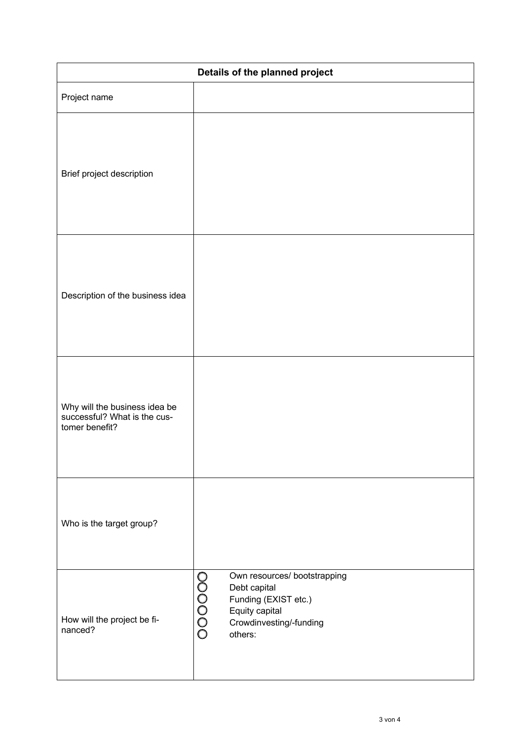| Details of the planned project                                                  |                                                                                                                                       |  |
|---------------------------------------------------------------------------------|---------------------------------------------------------------------------------------------------------------------------------------|--|
| Project name                                                                    |                                                                                                                                       |  |
| Brief project description                                                       |                                                                                                                                       |  |
| Description of the business idea                                                |                                                                                                                                       |  |
| Why will the business idea be<br>successful? What is the cus-<br>tomer benefit? |                                                                                                                                       |  |
| Who is the target group?                                                        |                                                                                                                                       |  |
| How will the project be fi-<br>nanced?                                          | Own resources/ bootstrapping<br>00000<br>Debt capital<br>Funding (EXIST etc.)<br>Equity capital<br>Crowdinvesting/-funding<br>others: |  |